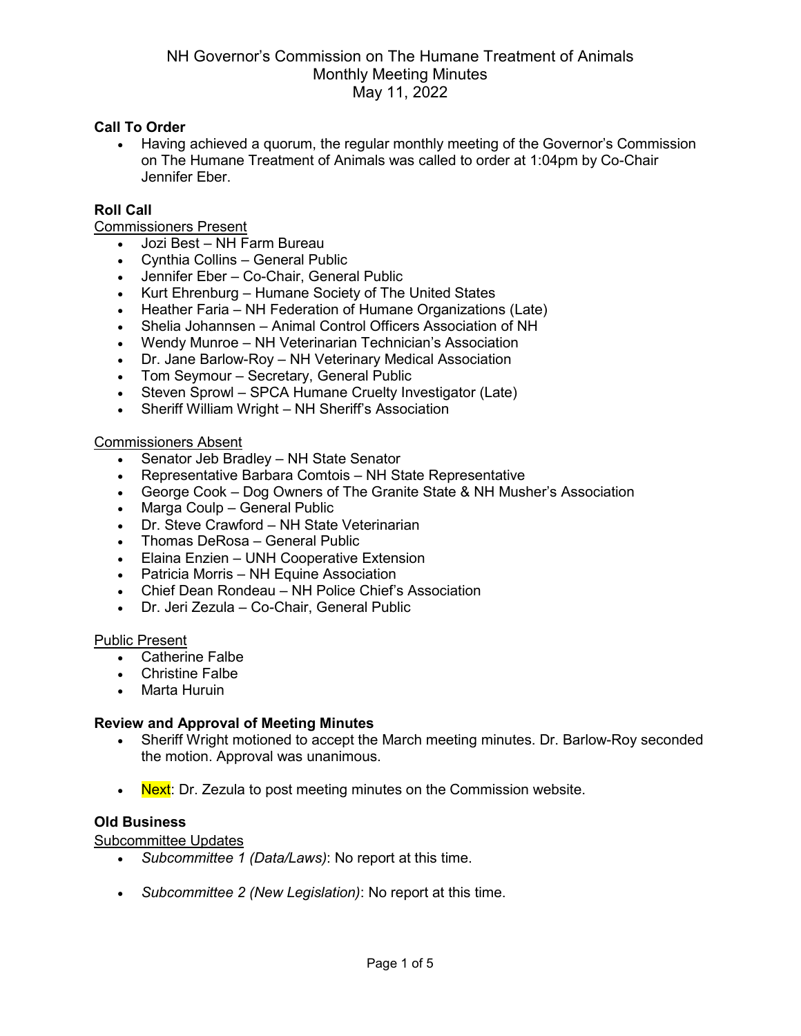#### **Call To Order**

• Having achieved a quorum, the regular monthly meeting of the Governor's Commission on The Humane Treatment of Animals was called to order at 1:04pm by Co-Chair Jennifer Eber.

#### **Roll Call**

Commissioners Present

- Jozi Best NH Farm Bureau
- Cynthia Collins General Public
- Jennifer Eber Co-Chair, General Public
- Kurt Ehrenburg Humane Society of The United States
- Heather Faria NH Federation of Humane Organizations (Late)
- Shelia Johannsen Animal Control Officers Association of NH
- Wendy Munroe NH Veterinarian Technician's Association
- Dr. Jane Barlow-Roy NH Veterinary Medical Association
- Tom Seymour Secretary, General Public
- Steven Sprowl SPCA Humane Cruelty Investigator (Late)
- Sheriff William Wright NH Sheriff's Association

#### Commissioners Absent

- Senator Jeb Bradley NH State Senator
- Representative Barbara Comtois NH State Representative
- George Cook Dog Owners of The Granite State & NH Musher's Association
- Marga Coulp General Public
- Dr. Steve Crawford NH State Veterinarian
- Thomas DeRosa General Public
- Elaina Enzien UNH Cooperative Extension
- Patricia Morris NH Equine Association
- Chief Dean Rondeau NH Police Chief's Association
- Dr. Jeri Zezula Co-Chair, General Public

#### Public Present

- Catherine Falbe
- Christine Falbe
- Marta Huruin

# **Review and Approval of Meeting Minutes**

- Sheriff Wright motioned to accept the March meeting minutes. Dr. Barlow-Roy seconded the motion. Approval was unanimous.
- Next: Dr. Zezula to post meeting minutes on the Commission website.

#### **Old Business**

Subcommittee Updates

- *Subcommittee 1 (Data/Laws)*: No report at this time.
- *Subcommittee 2 (New Legislation)*: No report at this time.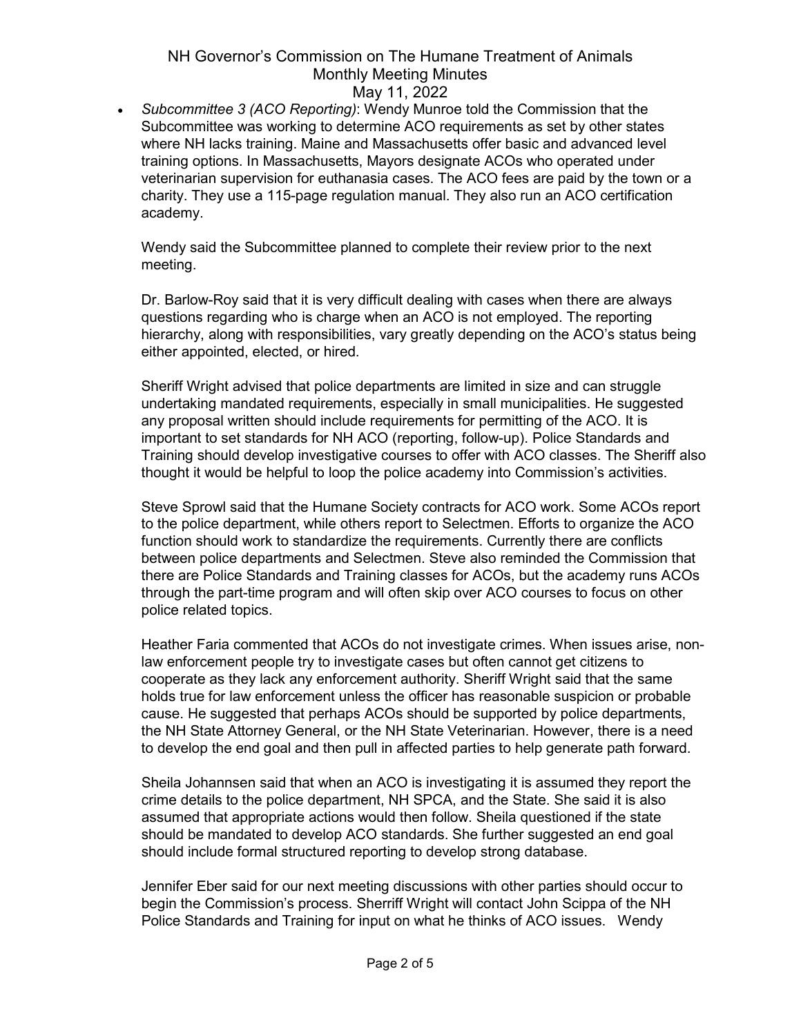• *Subcommittee 3 (ACO Reporting)*: Wendy Munroe told the Commission that the Subcommittee was working to determine ACO requirements as set by other states where NH lacks training. Maine and Massachusetts offer basic and advanced level training options. In Massachusetts, Mayors designate ACOs who operated under veterinarian supervision for euthanasia cases. The ACO fees are paid by the town or a charity. They use a 115-page regulation manual. They also run an ACO certification academy.

Wendy said the Subcommittee planned to complete their review prior to the next meeting.

Dr. Barlow-Roy said that it is very difficult dealing with cases when there are always questions regarding who is charge when an ACO is not employed. The reporting hierarchy, along with responsibilities, vary greatly depending on the ACO's status being either appointed, elected, or hired.

Sheriff Wright advised that police departments are limited in size and can struggle undertaking mandated requirements, especially in small municipalities. He suggested any proposal written should include requirements for permitting of the ACO. It is important to set standards for NH ACO (reporting, follow-up). Police Standards and Training should develop investigative courses to offer with ACO classes. The Sheriff also thought it would be helpful to loop the police academy into Commission's activities.

Steve Sprowl said that the Humane Society contracts for ACO work. Some ACOs report to the police department, while others report to Selectmen. Efforts to organize the ACO function should work to standardize the requirements. Currently there are conflicts between police departments and Selectmen. Steve also reminded the Commission that there are Police Standards and Training classes for ACOs, but the academy runs ACOs through the part-time program and will often skip over ACO courses to focus on other police related topics.

Heather Faria commented that ACOs do not investigate crimes. When issues arise, nonlaw enforcement people try to investigate cases but often cannot get citizens to cooperate as they lack any enforcement authority. Sheriff Wright said that the same holds true for law enforcement unless the officer has reasonable suspicion or probable cause. He suggested that perhaps ACOs should be supported by police departments, the NH State Attorney General, or the NH State Veterinarian. However, there is a need to develop the end goal and then pull in affected parties to help generate path forward.

Sheila Johannsen said that when an ACO is investigating it is assumed they report the crime details to the police department, NH SPCA, and the State. She said it is also assumed that appropriate actions would then follow. Sheila questioned if the state should be mandated to develop ACO standards. She further suggested an end goal should include formal structured reporting to develop strong database.

Jennifer Eber said for our next meeting discussions with other parties should occur to begin the Commission's process. Sherriff Wright will contact John Scippa of the NH Police Standards and Training for input on what he thinks of ACO issues. Wendy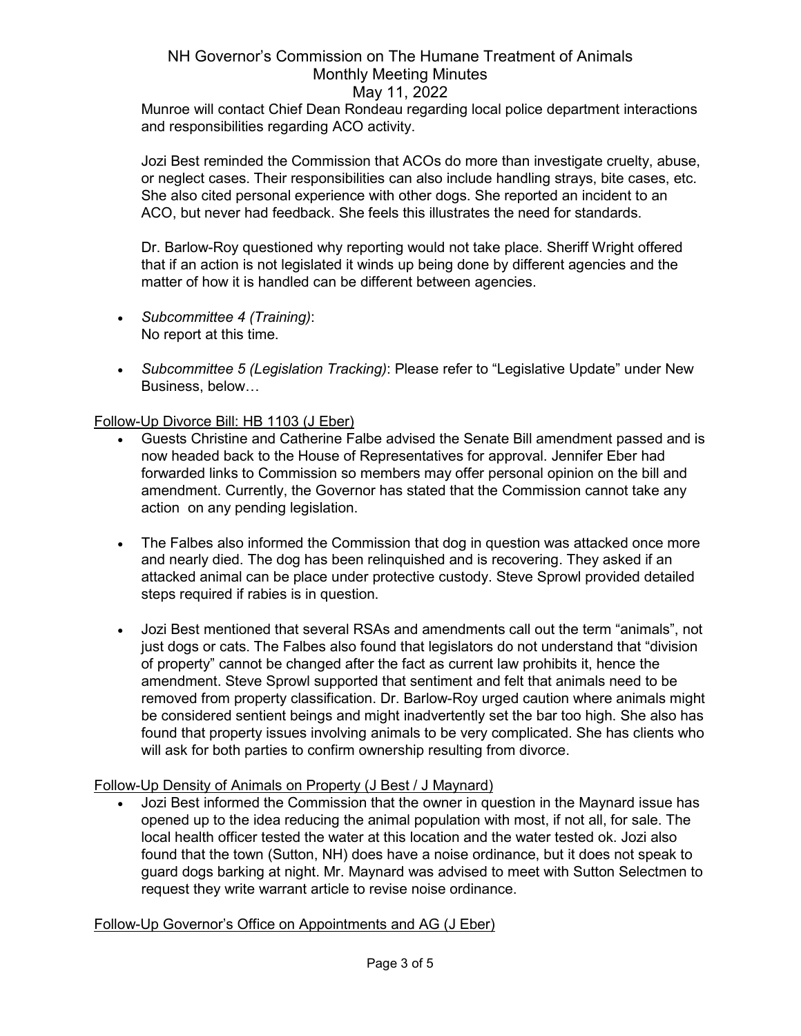Munroe will contact Chief Dean Rondeau regarding local police department interactions and responsibilities regarding ACO activity.

Jozi Best reminded the Commission that ACOs do more than investigate cruelty, abuse, or neglect cases. Their responsibilities can also include handling strays, bite cases, etc. She also cited personal experience with other dogs. She reported an incident to an ACO, but never had feedback. She feels this illustrates the need for standards.

Dr. Barlow-Roy questioned why reporting would not take place. Sheriff Wright offered that if an action is not legislated it winds up being done by different agencies and the matter of how it is handled can be different between agencies.

- *Subcommittee 4 (Training)*: No report at this time.
- *Subcommittee 5 (Legislation Tracking)*: Please refer to "Legislative Update" under New Business, below…

# Follow-Up Divorce Bill: HB 1103 (J Eber)

- Guests Christine and Catherine Falbe advised the Senate Bill amendment passed and is now headed back to the House of Representatives for approval. Jennifer Eber had forwarded links to Commission so members may offer personal opinion on the bill and amendment. Currently, the Governor has stated that the Commission cannot take any action on any pending legislation.
- The Falbes also informed the Commission that dog in question was attacked once more and nearly died. The dog has been relinquished and is recovering. They asked if an attacked animal can be place under protective custody. Steve Sprowl provided detailed steps required if rabies is in question.
- Jozi Best mentioned that several RSAs and amendments call out the term "animals", not just dogs or cats. The Falbes also found that legislators do not understand that "division of property" cannot be changed after the fact as current law prohibits it, hence the amendment. Steve Sprowl supported that sentiment and felt that animals need to be removed from property classification. Dr. Barlow-Roy urged caution where animals might be considered sentient beings and might inadvertently set the bar too high. She also has found that property issues involving animals to be very complicated. She has clients who will ask for both parties to confirm ownership resulting from divorce.

# Follow-Up Density of Animals on Property (J Best / J Maynard)

• Jozi Best informed the Commission that the owner in question in the Maynard issue has opened up to the idea reducing the animal population with most, if not all, for sale. The local health officer tested the water at this location and the water tested ok. Jozi also found that the town (Sutton, NH) does have a noise ordinance, but it does not speak to guard dogs barking at night. Mr. Maynard was advised to meet with Sutton Selectmen to request they write warrant article to revise noise ordinance.

# Follow-Up Governor's Office on Appointments and AG (J Eber)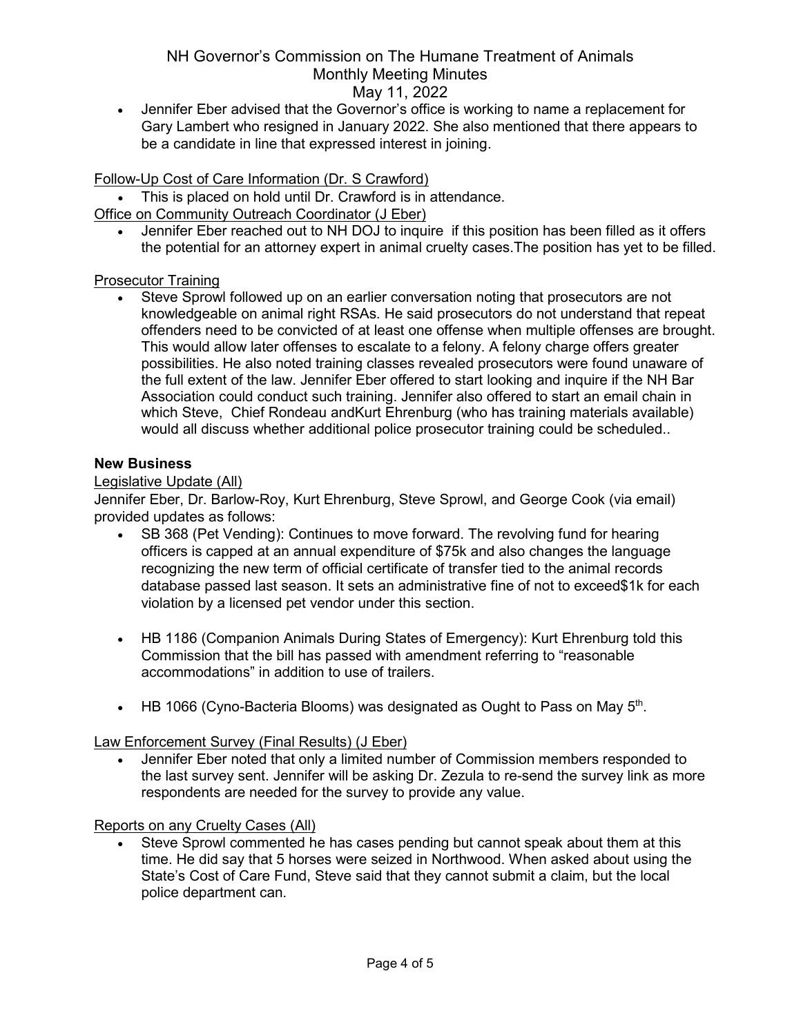• Jennifer Eber advised that the Governor's office is working to name a replacement for Gary Lambert who resigned in January 2022. She also mentioned that there appears to be a candidate in line that expressed interest in joining.

# Follow-Up Cost of Care Information (Dr. S Crawford)

- This is placed on hold until Dr. Crawford is in attendance.
- Office on Community Outreach Coordinator (J Eber)
	- Jennifer Eber reached out to NH DOJ to inquire if this position has been filled as it offers the potential for an attorney expert in animal cruelty cases.The position has yet to be filled.

# Prosecutor Training

• Steve Sprowl followed up on an earlier conversation noting that prosecutors are not knowledgeable on animal right RSAs. He said prosecutors do not understand that repeat offenders need to be convicted of at least one offense when multiple offenses are brought. This would allow later offenses to escalate to a felony. A felony charge offers greater possibilities. He also noted training classes revealed prosecutors were found unaware of the full extent of the law. Jennifer Eber offered to start looking and inquire if the NH Bar Association could conduct such training. Jennifer also offered to start an email chain in which Steve, Chief Rondeau and Kurt Ehrenburg (who has training materials available) would all discuss whether additional police prosecutor training could be scheduled..

#### **New Business**

#### Legislative Update (All)

Jennifer Eber, Dr. Barlow-Roy, Kurt Ehrenburg, Steve Sprowl, and George Cook (via email) provided updates as follows:

- SB 368 (Pet Vending): Continues to move forward. The revolving fund for hearing officers is capped at an annual expenditure of \$75k and also changes the language recognizing the new term of official certificate of transfer tied to the animal records database passed last season. It sets an administrative fine of not to exceed\$1k for each violation by a licensed pet vendor under this section.
- HB 1186 (Companion Animals During States of Emergency): Kurt Ehrenburg told this Commission that the bill has passed with amendment referring to "reasonable accommodations" in addition to use of trailers.
- HB 1066 (Cyno-Bacteria Blooms) was designated as Ought to Pass on May  $5<sup>th</sup>$ .

# Law Enforcement Survey (Final Results) (J Eber)

• Jennifer Eber noted that only a limited number of Commission members responded to the last survey sent. Jennifer will be asking Dr. Zezula to re-send the survey link as more respondents are needed for the survey to provide any value.

# Reports on any Cruelty Cases (All)

Steve Sprowl commented he has cases pending but cannot speak about them at this time. He did say that 5 horses were seized in Northwood. When asked about using the State's Cost of Care Fund, Steve said that they cannot submit a claim, but the local police department can.